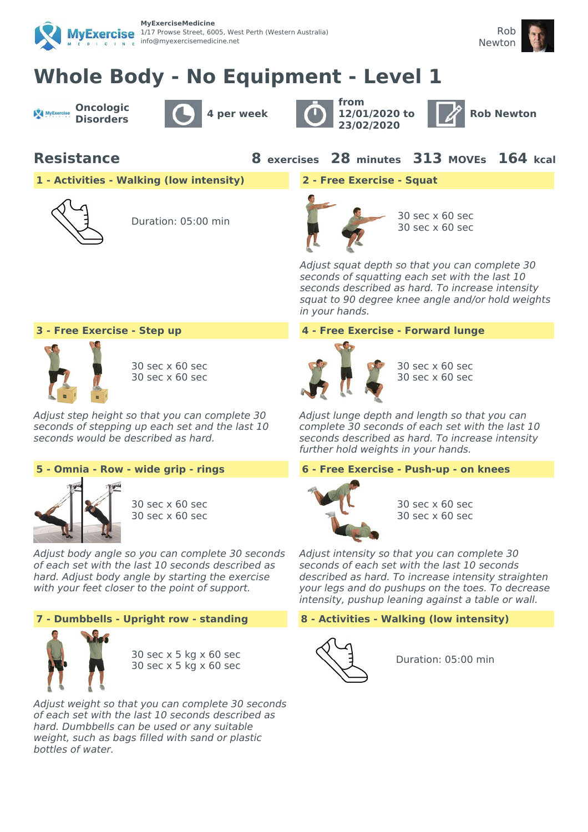



# **Whole Body - No Equipment - Level 1**

**Oncologic** MyExercise





**from 12/01/2020 to 23/02/2020**



**Resistance 8 exercises 28 minutes 313 MOVEs 164 kcal**

**1 - Activities - Walking (low intensity) 2 - Free Exercise - Squat**



Duration: 05:00 min 30 sec x 60 sec



30 sec x 60 sec

Adjust squat depth so that you can complete 30 seconds of squatting each set with the last 10 seconds described as hard. To increase intensity squat to 90 degree knee angle and/or hold weights in your hands.



30 sec x 60 sec 30 sec x 60 sec

Adjust step height so that you can complete 30 seconds of stepping up each set and the last 10 seconds would be described as hard.



30 sec x 60 sec 30 sec x 60 sec

Adjust body angle so you can complete 30 seconds of each set with the last 10 seconds described as hard. Adjust body angle by starting the exercise with your feet closer to the point of support.



30 sec x 5 kg x 60 sec 30 sec x 5 kg x 60 sec

Adjust weight so that you can complete 30 seconds of each set with the last 10 seconds described as hard. Dumbbells can be used or any suitable weight, such as bags filled with sand or plastic bottles of water.

# **3 - Free Exercise - Step up 4 - Free Exercise - Forward lunge**



30 sec x 60 sec 30 sec x 60 sec

Adjust lunge depth and length so that you can complete 30 seconds of each set with the last 10 seconds described as hard. To increase intensity further hold weights in your hands.

# **5 - Omnia - Row - wide grip - rings 6 - Free Exercise - Push-up - on knees**



30 sec x 60 sec 30 sec x 60 sec

Adjust intensity so that you can complete 30 seconds of each set with the last 10 seconds described as hard. To increase intensity straighten your legs and do pushups on the toes. To decrease intensity, pushup leaning against a table or wall.

# **7 - Dumbbells - Upright row - standing 8 - Activities - Walking (low intensity)**



Duration: 05:00 min